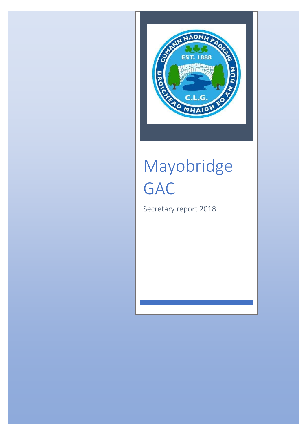

# Mayobridge GAC

Secretary report 2018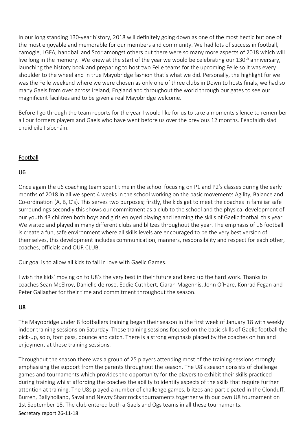In our long standing 130-year history, 2018 will definitely going down as one of the most hectic but one of the most enjoyable and memorable for our members and community. We had lots of success in football, camogie, LGFA, handball and Scor amongst others but there were so many more aspects of 2018 which will live long in the memory. We knew at the start of the year we would be celebrating our 130<sup>th</sup> anniversary, launching the history book and preparing to host two Feile teams for the upcoming Feile so it was every shoulder to the wheel and in true Mayobridge fashion that's what we did. Personally, the highlight for we was the Feile weekend where we were chosen as only one of three clubs in Down to hosts finals, we had so many Gaels from over across Ireland, England and throughout the world through our gates to see our magnificent facilities and to be given a real Mayobridge welcome.

Before I go through the team reports for the year I would like for us to take a moments silence to remember all our formers players and Gaels who have went before us over the previous 12 months. Féadfaidh siad chuid eile I síocháin.

# Football

# U6

Once again the u6 coaching team spent time in the school focusing on P1 and P2's classes during the early months of 2018.In all we spent 4 weeks in the school working on the basic movements Agility, Balance and Co-ordination (A, B, C's). This serves two purposes; firstly, the kids get to meet the coaches in familiar safe surroundings secondly this shows our commitment as a club to the school and the physical development of our youth.43 children both boys and girls enjoyed playing and learning the skills of Gaelic football this year. We visited and played in many different clubs and blitzes throughout the year. The emphasis of u6 football is create a fun, safe environment where all skills levels are encouraged to be the very best version of themselves, this development includes communication, manners, responsibility and respect for each other, coaches, officials and OUR CLUB.

Our goal is to allow all kids to fall in love with Gaelic Games.

I wish the kids' moving on to U8's the very best in their future and keep up the hard work. Thanks to coaches Sean McElroy, Danielle de rose, Eddie Cuthbert, Ciaran Magennis, John O'Hare, Konrad Fegan and Peter Gallagher for their time and commitment throughout the season.

# U8

The Mayobridge under 8 footballers training began their season in the first week of January 18 with weekly indoor training sessions on Saturday. These training sessions focused on the basic skills of Gaelic football the pick-up, solo, foot pass, bounce and catch. There is a strong emphasis placed by the coaches on fun and enjoyment at these training sessions.

Throughout the season there was a group of 25 players attending most of the training sessions strongly emphasising the support from the parents throughout the season. The U8's season consists of challenge games and tournaments which provides the opportunity for the players to exhibit their skills practiced during training whilst affording the coaches the ability to identify aspects of the skills that require further attention at training. The U8s played a number of challenge games, blitzes and participated in the Clonduff, Burren, Ballyholland, Saval and Newry Shamrocks tournaments together with our own U8 tournament on 1st September 18. The club entered both a Gaels and Ogs teams in all these tournaments.

#### Secretary report 26-11-18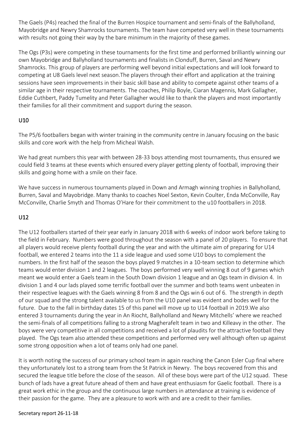The Gaels (P4s) reached the final of the Burren Hospice tournament and semi-finals of the Ballyholland, Mayobridge and Newry Shamrocks tournaments. The team have competed very well in these tournaments with results not going their way by the bare minimum in the majority of these games.

The Ogs (P3s) were competing in these tournaments for the first time and performed brilliantly winning our own Mayobridge and Ballyholland tournaments and finalists in Clonduff, Burren, Saval and Newry Shamrocks. This group of players are performing well beyond initial expectations and will look forward to competing at U8 Gaels level next season.The players through their effort and application at the training sessions have seen improvements in their basic skill base and ability to compete against other teams of a similar age in their respective tournaments. The coaches, Philip Boyle, Ciaran Magennis, Mark Gallagher, Eddie Cuthbert, Paddy Tumelity and Peter Gallagher would like to thank the players and most importantly their families for all their commitment and support during the season.

# U10

The P5/6 footballers began with winter training in the community centre in January focusing on the basic skills and core work with the help from Micheal Walsh.

We had great numbers this year with between 28-33 boys attending most tournaments, thus ensured we could field 3 teams at these events which ensured every player getting plenty of football, improving their skills and going home with a smile on their face.

We have success in numerous tournaments played in Down and Armagh winning trophies in Ballyholland, Burren, Saval and Mayobridge. Many thanks to coaches Noel Sexton, Kevin Coulter, Enda McConville, Ray McConville, Charlie Smyth and Thomas O'Hare for their commitment to the u10 footballers in 2018.

# U12

The U12 footballers started of their year early in January 2018 with 6 weeks of indoor work before taking to the field in February. Numbers were good throughout the season with a panel of 20 players. To ensure that all players would receive plenty football during the year and with the ultimate aim of preparing for U14 football, we entered 2 teams into the 11 a side league and used some U10 boys to complement the numbers. In the first half of the season the boys played 9 matches in a 10-team section to determine which teams would enter division 1 and 2 leagues. The boys performed very well winning 8 out of 9 games which meant we would enter a Gaels team in the South Down division 1 league and an Ogs team in division 4. In division 1 and 4 our lads played some terrific football over the summer and both teams went unbeaten in their respective leagues with the Gaels winning 8 from 8 and the Ogs win 6 out of 6. The strength in depth of our squad and the strong talent available to us from the U10 panel was evident and bodes well for the future. Due to the fall in birthday dates 15 of this panel will move up to U14 football in 2019.We also entered 3 tournaments during the year in An Riocht, Ballyholland and Newry Mitchells' where we reached the semi-finals of all competitions falling to a strong Magherafelt team in two and Killeavy in the other. The boys were very competitive in all competitions and received a lot of plaudits for the attractive football they played. The Ogs team also attended these competitions and performed very well although often up against some strong opposition when a lot of teams only had one panel.

It is worth noting the success of our primary school team in again reaching the Canon Esler Cup final where they unfortunately lost to a strong team from the St Patrick in Newry. The boys recovered from this and secured the league title before the close of the season. All of these boys were part of the U12 squad. These bunch of lads have a great future ahead of them and have great enthusiasm for Gaelic football. There is a great work ethic in the group and the continuous large numbers in attendance at training is evidence of their passion for the game. They are a pleasure to work with and are a credit to their families.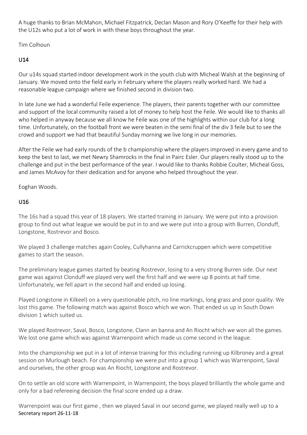A huge thanks to Brian McMahon, Michael Fitzpatrick, Declan Mason and Rory O'Keeffe for their help with the U12s who put a lot of work in with these boys throughout the year.

Tim Colhoun

# U14

Our u14s squad started indoor development work in the youth club with Micheal Walsh at the beginning of January. We moved onto the field early in February where the players really worked hard. We had a reasonable league campaign where we finished second in division two.

In late June we had a wonderful Feile experience. The players, their parents together with our committee and support of the local community raised a lot of money to help host the Feile. We would like to thanks all who helped in anyway because we all know he Feile was one of the highlights within our club for a long time. Unfortunately, on the football front we were beaten in the semi final of the div 3 feile but to see the crowd and support we had that beautiful Sunday morning we live long in our memories.

After the Feile we had early rounds of the b championship where the players improved in every game and to keep the best to last, we met Newry Shamrocks in the final in Pairc Esler. Our players really stood up to the challenge and put in the best performance of the year. I would like to thanks Robbie Coulter, Micheal Goss, and James McAvoy for their dedication and for anyone who helped throughout the year.

Eoghan Woods.

# U16

The 16s had a squad this year of 18 players. We started training in January. We were put into a provision group to find out what league we would be put in to and we were put into a group with Burren, Clonduff, Longstone, Rostrevor and Bosco.

We played 3 challenge matches again Cooley, Cullyhanna and Carrickcruppen which were competitive games to start the season.

The preliminary league games started by beating Rostrevor, losing to a very strong Burren side. Our next game was against Clonduff we played very well the first half and we were up 8 points at half time. Unfortunately, we fell apart in the second half and ended up losing.

Played Longstone in Kilkeel) on a very questionable pitch, no line markings, long grass and poor quality. We lost this game. The following match was against Bosco which we won. That ended us up in South Down division 1 which suited us.

We played Rostrevor, Saval, Bosco, Longstone, Clann an banna and An Riocht which we won all the games. We lost one game which was against Warrenpoint which made us come second in the league.

Into the championship we put in a lot of intense training for this including running up Kilbroney and a great session on Murlough beach. For championship we were put into a group 1 which was Warrenpoint, Saval and ourselves, the other group was An Riocht, Longstone and Rostrevor.

On to settle an old score with Warrenpoint, in Warrenpoint, the boys played brilliantly the whole game and only for a bad refereeing decision the final score ended up a draw.

Secretary report 26-11-18 Warrenpoint was our first game , then we played Saval in our second game, we played really well up to a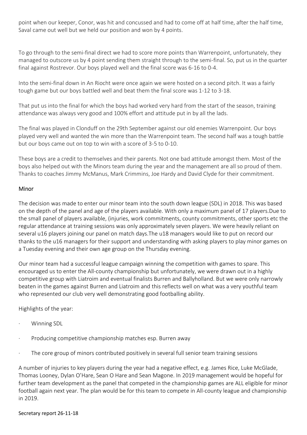point when our keeper, Conor, was hit and concussed and had to come off at half time, after the half time, Saval came out well but we held our position and won by 4 points.

To go through to the semi-final direct we had to score more points than Warrenpoint, unfortunately, they managed to outscore us by 4 point sending them straight through to the semi-final. So, put us in the quarter final against Rostrevor. Our boys played well and the final score was 6-16 to 0-4.

Into the semi-final down in An Riocht were once again we were hosted on a second pitch. It was a fairly tough game but our boys battled well and beat them the final score was 1-12 to 3-18.

That put us into the final for which the boys had worked very hard from the start of the season, training attendance was always very good and 100% effort and attitude put in by all the lads.

The final was played in Clonduff on the 29th September against our old enemies Warrenpoint. Our boys played very well and wanted the win more than the Warrenpoint team. The second half was a tough battle but our boys came out on top to win with a score of 3-5 to 0-10.

These boys are a credit to themselves and their parents. Not one bad attitude amongst them. Most of the boys also helped out with the Minors team during the year and the management are all so proud of them. Thanks to coaches Jimmy McManus, Mark Crimmins, Joe Hardy and David Clyde for their commitment.

# Minor

The decision was made to enter our minor team into the south down league (SDL) in 2018. This was based on the depth of the panel and age of the players available. With only a maximum panel of 17 players.Due to the small panel of players available, (injuries, work commitments, county commitments, other sports etc the regular attendance at training sessions was only approximately seven players. We were heavily reliant on several u16 players joining our panel on match days.The u18 managers would like to put on record our thanks to the u16 managers for their support and understanding with asking players to play minor games on a Tuesday evening and their own age group on the Thursday evening.

Our minor team had a successful league campaign winning the competition with games to spare. This encouraged us to enter the All-county championship but unfortunately, we were drawn out in a highly competitive group with Liatroim and eventual finalists Burren and Ballyholland. But we were only narrowly beaten in the games against Burren and Liatroim and this reflects well on what was a very youthful team who represented our club very well demonstrating good footballing ability.

Highlights of the year:

- Winning SDL
- Producing competitive championship matches esp. Burren away
- · The core group of minors contributed positively in several full senior team training sessions

A number of injuries to key players during the year had a negative effect, e.g. James Rice, Luke McGlade, Thomas Looney, Dylan O'Hare, Sean O Hare and Sean Magone. In 2019 management would be hopeful for further team development as the panel that competed in the championship games are ALL eligible for minor football again next year. The plan would be for this team to compete in All-county league and championship in 2019.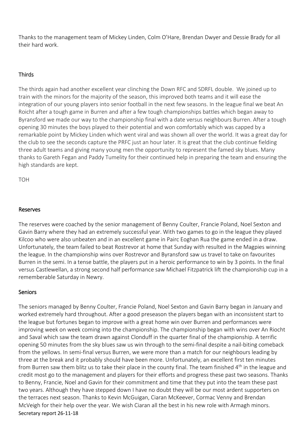Thanks to the management team of Mickey Linden, Colm O'Hare, Brendan Dwyer and Dessie Brady for all their hard work.

# Thirds

The thirds again had another excellent year clinching the Down RFC and SDRFL double. We joined up to train with the minors for the majority of the season, this improved both teams and it will ease the integration of our young players into senior football in the next few seasons. In the league final we beat An Roicht after a tough game in Burren and after a few tough championships battles which began away to Byransford we made our way to the championship final with a date versus neighbours Burren. After a tough opening 30 minutes the boys played to their potential and won comfortably which was capped by a remarkable point by Mickey Linden which went viral and was shown all over the world. It was a great day for the club to see the seconds capture the PRFC just an hour later. It is great that the club continue fielding three adult teams and giving many young men the opportunity to represent the famed sky blues. Many thanks to Gareth Fegan and Paddy Tumelity for their continued help in preparing the team and ensuring the high standards are kept.

**TOH** 

#### Reserves

The reserves were coached by the senior management of Benny Coulter, Francie Poland, Noel Sexton and Gavin Barry where they had an extremely successful year. With two games to go in the league they played Kilcoo who were also unbeaten and in an excellent game in Pairc Eoghan Rua the game ended in a draw. Unfortunately, the team failed to beat Rostrevor at home that Sunday with resulted in the Magpies winning the league. In the championship wins over Rostrevor and Byransford saw us travel to take on favourites Burren in the semi. In a tense battle, the players put in a heroic performance to win by 3 points. In the final versus Castlewellan, a strong second half performance saw Michael Fitzpatrick lift the championship cup in a rememberable Saturday in Newry.

#### Seniors

Secretary report 26-11-18 The seniors managed by Benny Coulter, Francie Poland, Noel Sexton and Gavin Barry began in January and worked extremely hard throughout. After a good preseason the players began with an inconsistent start to the league but fortunes began to improve with a great home win over Burren and performances were improving week on week coming into the championship. The championship began with wins over An Riocht and Saval which saw the team drawn against Clonduff in the quarter final of the championship. A terrific opening 50 minutes from the sky blues saw us win through to the semi-final despite a nail-biting comeback from the yellows. In semi-final versus Burren, we were more than a match for our neighbours leading by three at the break and it probably should have been more. Unfortunately, an excellent first ten minutes from Burren saw them blitz us to take their place in the county final. The team finished 4<sup>th</sup> in the league and credit most go to the management and players for their efforts and progress these past two seasons. Thanks to Benny, Francie, Noel and Gavin for their commitment and time that they put into the team these past two years. Although they have stepped down I have no doubt they will be our most ardent supporters on the terraces next season. Thanks to Kevin McGuigan, Ciaran McKeever, Cormac Venny and Brendan McVeigh for their help over the year. We wish Ciaran all the best in his new role with Armagh minors.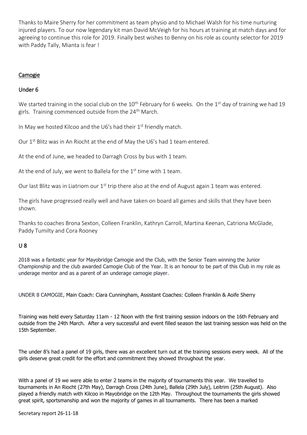Thanks to Maire Sherry for her commitment as team physio and to Michael Walsh for his time nurturing injured players. To our now legendary kit man David McVeigh for his hours at training at match days and for agreeing to continue this role for 2019. Finally best wishes to Benny on his role as county selector for 2019 with Paddy Tally, Mianta is fear !

# Camogie

# Under 6

We started training in the social club on the  $10^{th}$  February for 6 weeks. On the  $1^{st}$  day of training we had 19 girls. Training commenced outside from the 24<sup>th</sup> March.

In May we hosted Kilcoo and the U6's had their  $1<sup>st</sup>$  friendly match.

Our 1<sup>st</sup> Blitz was in An Riocht at the end of May the U6's had 1 team entered.

At the end of June, we headed to Darragh Cross by bus with 1 team.

At the end of July, we went to Ballela for the  $1<sup>st</sup>$  time with 1 team.

Our last Blitz was in Liatriom our 1<sup>st</sup> trip there also at the end of August again 1 team was entered.

The girls have progressed really well and have taken on board all games and skills that they have been shown.

Thanks to coaches Brona Sexton, Colleen Franklin, Kathryn Carroll, Martina Keenan, Catriona McGlade, Paddy Tumilty and Cora Rooney

# U 8

2018 was a fantastic year for Mayobridge Camogie and the Club, with the Senior Team winning the Junior Championship and the club awarded Camogie Club of the Year. It is an honour to be part of this Club in my role as underage mentor and as a parent of an underage camogie player.

UNDER 8 CAMOGIE, Main Coach: Ciara Cunningham, Assistant Coaches: Colleen Franklin & Aoife Sherry

Training was held every Saturday 11am - 12 Noon with the first training session indoors on the 16th February and outside from the 24th March. After a very successful and event filled season the last training session was held on the 15th September.

The under 8's had a panel of 19 girls, there was an excellent turn out at the training sessions every week. All of the girls deserve great credit for the effort and commitment they showed throughout the year.

With a panel of 19 we were able to enter 2 teams in the majority of tournaments this year. We travelled to tournaments in An Riocht (27th May), Darragh Cross (24th June), Ballela (29th July), Leitrim (25th August). Also played a friendly match with Kilcoo in Mayobridge on the 12th May. Throughout the tournaments the girls showed great spirit, sportsmanship and won the majority of games in all tournaments. There has been a marked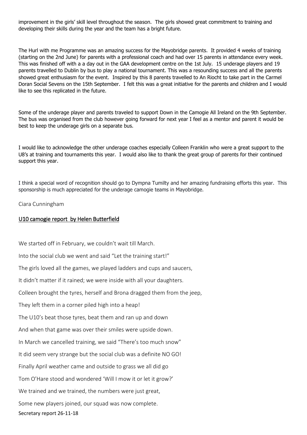improvement in the girls' skill level throughout the season. The girls showed great commitment to training and developing their skills during the year and the team has a bright future.

The Hurl with me Programme was an amazing success for the Mayobridge parents. It provided 4 weeks of training (starting on the 2nd June) for parents with a professional coach and had over 15 parents in attendance every week. This was finished off with a a day out in the GAA development centre on the 1st July. 15 underage players and 19 parents travelled to Dublin by bus to play a national tournament. This was a resounding success and all the parents showed great enthusiasm for the event. Inspired by this 8 parents travelled to An Riocht to take part in the Carmel Doran Social Sevens on the 15th September. I felt this was a great initiative for the parents and children and I would like to see this replicated in the future.

Some of the underage player and parents traveled to support Down in the Camogie All Ireland on the 9th September. The bus was organised from the club however going forward for next year I feel as a mentor and parent it would be best to keep the underage girls on a separate bus.

I would like to acknowledge the other underage coaches especially Colleen Franklin who were a great support to the U8's at training and tournaments this year. I would also like to thank the great group of parents for their continued support this year.

I think a special word of recognition should go to Dympna Tumilty and her amazing fundraising efforts this year. This sponsorship is much appreciated for the underage camogie teams in Mayobridge.

#### Ciara Cunningham

#### U10 camogie report by Helen Butterfield

Secretary report 26-11-18 We started off in February, we couldn't wait till March. Into the social club we went and said "Let the training start!" The girls loved all the games, we played ladders and cups and saucers, It didn't matter if it rained; we were inside with all your daughters. Colleen brought the tyres, herself and Brona dragged them from the jeep, They left them in a corner piled high into a heap! The U10's beat those tyres, beat them and ran up and down And when that game was over their smiles were upside down. In March we cancelled training, we said "There's too much snow" It did seem very strange but the social club was a definite NO GO! Finally April weather came and outside to grass we all did go Tom O'Hare stood and wondered 'Will I mow it or let it grow?' We trained and we trained, the numbers were just great, Some new players joined, our squad was now complete.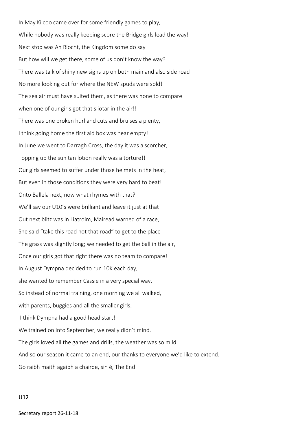In May Kilcoo came over for some friendly games to play, While nobody was really keeping score the Bridge girls lead the way! Next stop was An Riocht, the Kingdom some do say But how will we get there, some of us don't know the way? There was talk of shiny new signs up on both main and also side road No more looking out for where the NEW spuds were sold! The sea air must have suited them, as there was none to compare when one of our girls got that sliotar in the air!! There was one broken hurl and cuts and bruises a plenty, I think going home the first aid box was near empty! In June we went to Darragh Cross, the day it was a scorcher, Topping up the sun tan lotion really was a torture!! Our girls seemed to suffer under those helmets in the heat, But even in those conditions they were very hard to beat! Onto Ballela next, now what rhymes with that? We'll say our U10's were brilliant and leave it just at that! Out next blitz was in Liatroim, Mairead warned of a race, She said "take this road not that road" to get to the place The grass was slightly long; we needed to get the ball in the air, Once our girls got that right there was no team to compare! In August Dympna decided to run 10K each day, she wanted to remember Cassie in a very special way. So instead of normal training, one morning we all walked, with parents, buggies and all the smaller girls, I think Dympna had a good head start! We trained on into September, we really didn't mind. The girls loved all the games and drills, the weather was so mild. And so our season it came to an end, our thanks to everyone we'd like to extend. Go raibh maith agaibh a chairde, sin é, The End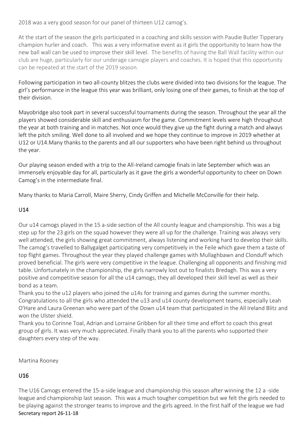2018 was a very good season for our panel of thirteen U12 camog's.

At the start of the season the girls participated in a coaching and skills session with Paudie Butler Tipperary champion hurler and coach. This was a very informative event as it girls the opportunity to learn how the new ball wall can be used to improve their skill level. The benefits of having the Ball Wall facility within our club are huge, particularly for our underage camogie players and coaches. It is hoped that this opportunity can be repeated at the start of the 2019 season.

Following participation in two all-county blitzes the clubs were divided into two divisions for the league. The girl's performance in the league this year was brilliant, only losing one of their games, to finish at the top of their division.

Mayobridge also took part in several successful tournaments during the season. Throughout the year all the players showed considerable skill and enthusiasm for the game. Commitment levels were high throughout the year at both training and in matches. Not once would they give up the fight during a match and always left the pitch smiling. Well done to all involved and we hope they continue to improve in 2019 whether at U12 or U14.Many thanks to the parents and all our supporters who have been right behind us throughout the year.

Our playing season ended with a trip to the All-Ireland camogie finals in late September which was an immensely enjoyable day for all, particularly as it gave the girls a wonderful opportunity to cheer on Down Camog's in the intermediate final.

Many thanks to Maria Carroll, Maire Sherry, Cindy Griffen and Michelle McConville for their help.

# U14

Our u14 camogs played in the 15 a-side section of the All county league and championship. This was a big step up for the 23 girls on the squad however they were all up for the challenge. Training was always very well attended, the girls showing great commitment, always listening and working hard to develop their skills. The camog's travelled to Ballygalget participating very competitively in the Feile which gave them a taste of top flight games. Throughout the year they played challenge games with Mullaghbawn and Clonduff which proved beneficial. The girls were very competitive in the league. Challenging all opponents and finishing mid table. Unfortunately in the championship, the girls narrowly lost out to finalists Bredagh. This was a very positive and competitive season for all the u14 camogs, they all developed their skill level as well as their bond as a team.

Thank you to the u12 players who joined the u14s for training and games during the summer months. Congratulations to all the girls who attended the u13 and u14 county development teams, especially Leah O'Hare and Laura Greenan who were part of the Down u14 team that participated in the All Ireland Blitz and won the Ulster shield.

Thank you to Corinne Toal, Adrian and Lorraine Gribben for all their time and effort to coach this great group of girls. It was very much appreciated. Finally thank you to all the parents who supported their daughters every step of the way.

Martina Rooney

# U16

Secretary report 26-11-18 The U16 Camogs entered the 15-a-side league and championship this season after winning the 12 a -side league and championship last season. This was a much tougher competition but we felt the girls needed to be playing against the stronger teams to improve and the girls agreed. In the first half of the league we had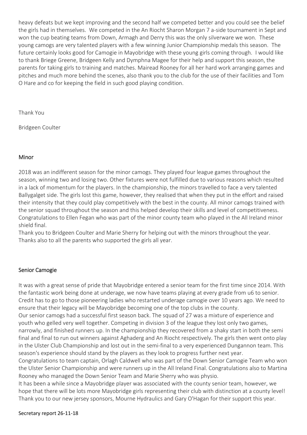heavy defeats but we kept improving and the second half we competed better and you could see the belief the girls had in themselves. We competed in the An Riocht Sharon Morgan 7 a-side tournament in Sept and won the cup beating teams from Down, Armagh and Derry this was the only silverware we won. These young camogs are very talented players with a few winning Junior Championship medals this season. The future certainly looks good for Camogie in Mayobridge with these young girls coming through. I would like to thank Briege Greene, Bridgeen Kelly and Dymphna Magee for their help and support this season, the parents for taking girls to training and matches. Mairead Rooney for all her hard work arranging games and pitches and much more behind the scenes, also thank you to the club for the use of their facilities and Tom O Hare and co for keeping the field in such good playing condition.

Thank You

Bridgeen Coulter

# Minor

2018 was an indifferent season for the minor camogs. They played four league games throughout the season, winning two and losing two. Other fixtures were not fulfilled due to various reasons which resulted in a lack of momentum for the players. In the championship, the minors travelled to face a very talented Ballygalget side. The girls lost this game, however, they realised that when they put in the effort and raised their intensity that they could play competitively with the best in the county. All minor camogs trained with the senior squad throughout the season and this helped develop their skills and level of competitiveness. Congratulations to Ellen Fegan who was part of the minor county team who played in the All Ireland minor shield final.

Thank you to Bridgeen Coulter and Marie Sherry for helping out with the minors throughout the year. Thanks also to all the parents who supported the girls all year.

# Senior Camogie

It was with a great sense of pride that Mayobridge entered a senior team for the first time since 2014. With the fantastic work being done at underage, we now have teams playing at every grade from u6 to senior. Credit has to go to those pioneering ladies who restarted underage camogie over 10 years ago. We need to ensure that their legacy will be Mayobridge becoming one of the top clubs in the county.

Our senior camogs had a successful first season back. The squad of 27 was a mixture of experience and youth who gelled very well together. Competing in division 3 of the league they lost only two games, narrowly, and finished runners up. In the championship they recovered from a shaky start in both the semi final and final to run out winners against Aghaderg and An Riocht respectively. The girls then went onto play in the Ulster Club Championship and lost out in the semi-final to a very experienced Dungannon team. This season's experience should stand by the players as they look to progress further next year.

Congratulations to team captain, Orlagh Caldwell who was part of the Down Senior Camogie Team who won the Ulster Senior Championship and were runners up in the All Ireland Final. Congratulations also to Martina Rooney who managed the Down Senior Team and Marie Sherry who was physio.

It has been a while since a Mayobridge player was associated with the county senior team, however, we hope that there will be lots more Mayobridge girls representing their club with distinction at a county level! Thank you to our new jersey sponsors, Mourne Hydraulics and Gary O'Hagan for their support this year.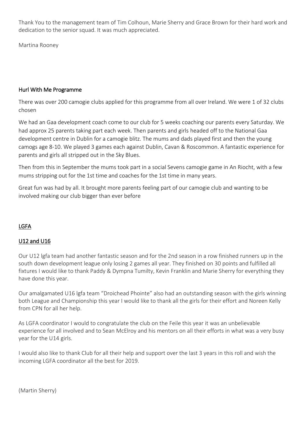Thank You to the management team of Tim Colhoun, Marie Sherry and Grace Brown for their hard work and dedication to the senior squad. It was much appreciated.

Martina Rooney

# Hurl With Me Programme

There was over 200 camogie clubs applied for this programme from all over Ireland. We were 1 of 32 clubs chosen

We had an Gaa development coach come to our club for 5 weeks coaching our parents every Saturday. We had approx 25 parents taking part each week. Then parents and girls headed off to the National Gaa development centre in Dublin for a camogie blitz. The mums and dads played first and then the young camogs age 8-10. We played 3 games each against Dublin, Cavan & Roscommon. A fantastic experience for parents and girls all stripped out in the Sky Blues.

Then from this in September the mums took part in a social Sevens camogie game in An Riocht, with a few mums stripping out for the 1st time and coaches for the 1st time in many years.

Great fun was had by all. It brought more parents feeling part of our camogie club and wanting to be involved making our club bigger than ever before

# LGFA

# U12 and U16

Our U12 lgfa team had another fantastic season and for the 2nd season in a row finished runners up in the south down development league only losing 2 games all year. They finished on 30 points and fulfilled all fixtures I would like to thank Paddy & Dympna Tumilty, Kevin Franklin and Marie Sherry for everything they have done this year.

Our amalgamated U16 lgfa team "Droichead Phointe" also had an outstanding season with the girls winning both League and Championship this year I would like to thank all the girls for their effort and Noreen Kelly from CPN for all her help.

As LGFA coordinator I would to congratulate the club on the Feile this year it was an unbelievable experience for all involved and to Sean McElroy and his mentors on all their efforts in what was a very busy year for the U14 girls.

I would also like to thank Club for all their help and support over the last 3 years in this roll and wish the incoming LGFA coordinator all the best for 2019.

(Martin Sherry)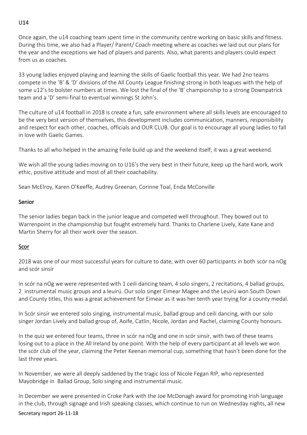# U14

Once again, the u14 coaching team spent time in the community centre working on basic skills and fitness. During this time, we also had a Player/ Parent/ Coach meeting where as coaches we laid out our plans for the year and the exceptions we had of players and parents. Also, what parents and players could expect from us as coaches.

33 young ladies enjoyed playing and learning the skills of Gaelic football this year. We had 2no teams compete in the 'B' & 'D' divisions of the All County League finishing strong in both leagues with the help of some u12's to bolster numbers at times. We lost the final of the 'B' championship to a strong Downpatrick team and a 'D' semi-final to eventual winnings St John's.

The culture of u14 football in 2018 is create a fun, safe environment where all skills levels are encouraged to be the very best version of themselves, this development includes communication, manners, responsibility and respect for each other, coaches, officials and OUR CLUB. Our goal is to encourage all young ladies to fall in love with Gaelic Games.

Thanks to all who helped in the amazing Feile build up and the weekend itself, it was a great weekend.

We wish all the young ladies moving on to U16's the very best in their future, keep up the hard work, work ethic, positive attitude and most of all their coachability.

Sean McElroy, Karen O'Keeffe, Audrey Greenan, Corinne Toal, Enda McConville

#### Senior

The senior ladies began back in the junior league and competed well throughout. They bowed out to Warrenpoint in the championship but fought extremely hard. Thanks to Charlene Lively, Kate Kane and Martin Sherry for all their work over the season.

# Scor

2018 was one of our most successful years for culture to date, with over 60 participants in both scór na nOg and scór sinsír

In scór na nOg we were represented with 1 ceili dancing team, 4 solo singers, 2 recitations, 4 ballad groups, 2 instrumental music groups and a leuirú. Our solo singer Eimear Magee and the Leuirú won South Down and County titles, this was a great achievement for Eimear as it was her tenth year trying for a county medal.

In Scór sinsír we entered solo singing, instrumental music, ballad group and ceili dancing, with our solo singer Jordan Lively and ballad group of, Aoife, Catlin, Nicole, Jordan and Rachel, claiming County honours.

In the quiz we entered four teams, three in scór na nOg and one in scór sinsír, with two of these teams losing out to a place in the All Ireland by one point. With the help of every participant at all levels we won the scór club of the year, claiming the Peter Keenan memorial cup, something that hasn't been done for the last three years.

In November, we were all deeply saddened by the tragic loss of Nicole Fegan RIP, who represented Mayobridge in Ballad Group, Solo singing and instrumental music.

In December we were presented in Croke Park with the Joe McDonagh award for promoting Irish language in the club, through signage and Irish speaking classes, which continue to run on Wednesday nights, all new

#### Secretary report 26-11-18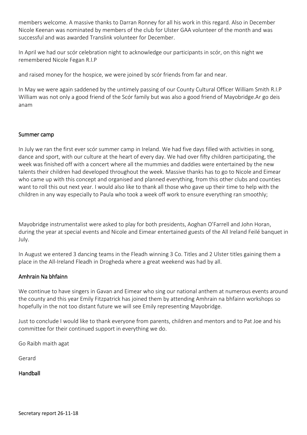members welcome. A massive thanks to Darran Ronney for all his work in this regard. Also in December Nicole Keenan was nominated by members of the club for Ulster GAA volunteer of the month and was successful and was awarded Translink volunteer for December.

In April we had our scór celebration night to acknowledge our participants in scór, on this night we remembered Nicole Fegan R.I.P

and raised money for the hospice, we were joined by scór friends from far and near.

In May we were again saddened by the untimely passing of our County Cultural Officer William Smith R.I.P William was not only a good friend of the Scór family but was also a good friend of Mayobridge.Ar go deis anam

#### Summer camp

In July we ran the first ever scór summer camp in Ireland. We had five days filled with activities in song, dance and sport, with our culture at the heart of every day. We had over fifty children participating, the week was finished off with a concert where all the mummies and daddies were entertained by the new talents their children had developed throughout the week. Massive thanks has to go to Nicole and Eimear who came up with this concept and organised and planned everything, from this other clubs and counties want to roll this out next year. I would also like to thank all those who gave up their time to help with the children in any way especially to Paula who took a week off work to ensure everything ran smoothly;

Mayobridge instrumentalist were asked to play for both presidents, Aoghan O'Farrell and John Horan, during the year at special events and Nicole and Eimear entertained guests of the All Ireland Feilé banquet in July.

In August we entered 3 dancing teams in the Fleadh winning 3 Co. Titles and 2 Ulster titles gaining them a place in the All-Ireland Fleadh in Drogheda where a great weekend was had by all.

# Amhrain Na bhfainn

We continue to have singers in Gavan and Eimear who sing our national anthem at numerous events around the county and this year Emily Fitzpatrick has joined them by attending Amhrain na bhfainn workshops so hopefully in the not too distant future we will see Emily representing Mayobridge.

Just to conclude I would like to thank everyone from parents, children and mentors and to Pat Joe and his committee for their continued support in everything we do.

Go Raibh maith agat

Gerard

# Handball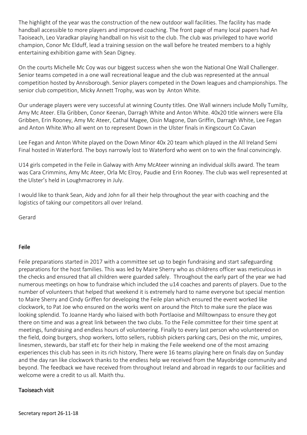The highlight of the year was the construction of the new outdoor wall facilities. The facility has made handball accessible to more players and improved coaching. The front page of many local papers had An Taoiseach, Leo Varadkar playing handball on his visit to the club. The club was privileged to have world champion, Conor Mc Elduff, lead a training session on the wall before he treated members to a highly entertaining exhibition game with Sean Digney.

On the courts Michelle Mc Coy was our biggest success when she won the National One Wall Challenger. Senior teams competed in a one wall recreational league and the club was represented at the annual competition hosted by Annsborough. Senior players competed in the Down leagues and championships. The senior club competition, Micky Annett Trophy, was won by Anton White.

Our underage players were very successful at winning County titles. One Wall winners include Molly Tumilty, Amy Mc Ateer. Ella Gribben, Conor Keenan, Darragh White and Anton White. 40x20 title winners were Ella Gribben, Erin Rooney, Amy Mc Ateer, Cathal Magee, Oisin Magone, Dan Griffin, Darragh White, Lee Fegan and Anton White.Who all went on to represent Down in the Ulster finals in Kingscourt Co.Cavan

Lee Fegan and Anton White played on the Down Minor 40x 20 team which played in the All Ireland Semi Final hosted in Waterford. The boys narrowly lost to Waterford who went on to win the final convincingly.

U14 girls competed in the Feile in Galway with Amy McAteer winning an individual skills award. The team was Cara Crimmins, Amy Mc Ateer, Orla Mc Elroy, Paudie and Erin Rooney. The club was well represented at the Ulster's held in Loughmacrorey in July.

I would like to thank Sean, Aidy and John for all their help throughout the year with coaching and the logistics of taking our competitors all over Ireland.

Gerard

# Feile

Feile preparations started in 2017 with a committee set up to begin fundraising and start safeguarding preparations for the host families. This was led by Maire Sherry who as childrens officer was meticulous in the checks and ensured that all children were guarded safely. Throughout the early part of the year we had numerous meetings on how to fundraise which included the u14 coaches and parents of players. Due to the number of volunteers that helped that weekend it is extremely hard to name everyone but special mention to Maire Sherry and Cindy Griffen for developing the Feile plan which ensured the event worked like clockwork, to Pat Joe who ensured on the works went on around the Pitch to make sure the place was looking splendid. To Joanne Hardy who liaised with both Portlaoise and Milltownpass to ensure they got there on time and was a great link between the two clubs. To the Feile committee for their time spent at meetings, fundraising and endless hours of volunteering. Finally to every last person who volunteered on the field, doing burgers, shop workers, lotto sellers, rubbish pickers parking cars, Desi on the mic, umpires, linesmen, stewards, bar staff etc for their help in making the Feile weekend one of the most amazing experiences this club has seen in its rich history, There were 16 teams playing here on finals day on Sunday and the day ran like clockwork thanks to the endless help we received from the Mayobridge community and beyond. The feedback we have received from throughout Ireland and abroad in regards to our facilities and welcome were a credit to us all. Maith thu.

#### Taoiseach visit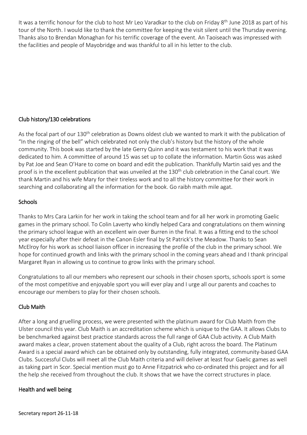It was a terrific honour for the club to host Mr Leo Varadkar to the club on Friday 8<sup>th</sup> June 2018 as part of his tour of the North. I would like to thank the committee for keeping the visit silent until the Thursday evening. Thanks also to Brendan Monaghan for his terrific coverage of the event. An Taoiseach was impressed with the facilities and people of Mayobridge and was thankful to all in his letter to the club.

# Club history/130 celebrations

As the focal part of our 130<sup>th</sup> celebration as Downs oldest club we wanted to mark it with the publication of "In the ringing of the bell" which celebrated not only the club's history but the history of the whole community. This book was started by the late Gerry Quinn and it was testament to his work that it was dedicated to him. A committee of around 15 was set up to collate the information. Martin Goss was asked by Pat Joe and Sean O'Hare to come on board and edit the publication. Thankfully Martin said yes and the proof is in the excellent publication that was unveiled at the 130<sup>th</sup> club celebration in the Canal court. We thank Martin and his wife Mary for their tireless work and to all the history committee for their work in searching and collaborating all the information for the book. Go raibh maith mile agat.

# **Schools**

Thanks to Mrs Cara Larkin for her work in taking the school team and for all her work in promoting Gaelic games in the primary school. To Colin Laverty who kindly helped Cara and congratulations on them winning the primary school league with an excellent win over Burren in the final. It was a fitting end to the school year especially after their defeat in the Canon Esler final by St Patrick's the Meadow. Thanks to Sean McElroy for his work as school liaison officer in increasing the profile of the club in the primary school. We hope for continued growth and links with the primary school in the coming years ahead and I thank principal Margaret Ryan in allowing us to continue to grow links with the primary school.

Congratulations to all our members who represent our schools in their chosen sports, schools sport is some of the most competitive and enjoyable sport you will ever play and I urge all our parents and coaches to encourage our members to play for their chosen schools.

# Club Maith

After a long and gruelling process, we were presented with the platinum award for Club Maith from the Ulster council this year. Club Maith is an accreditation scheme which is unique to the GAA. It allows Clubs to be benchmarked against best practice standards across the full range of GAA Club activity. A Club Maith award makes a clear, proven statement about the quality of a Club, right across the board. The Platinum Award is a special award which can be obtained only by outstanding, fully integrated, community-based GAA Clubs. Successful Clubs will meet all the Club Maith criteria and will deliver at least four Gaelic games as well as taking part in Scor. Special mention must go to Anne Fitzpatrick who co-ordinated this project and for all the help she received from throughout the club. It shows that we have the correct structures in place.

# Health and well being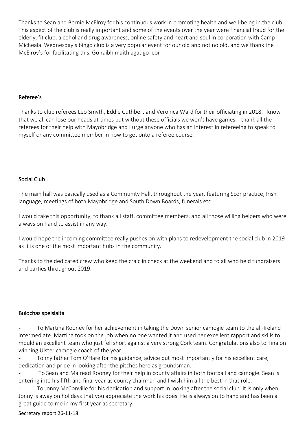Thanks to Sean and Bernie McElroy for his continuous work in promoting health and well-being in the club. This aspect of the club is really important and some of the events over the year were financial fraud for the elderly, fit club, alcohol and drug awareness, online safety and heart and soul in corporation with Camp Micheala. Wednesday's bingo club is a very popular event for our old and not no old, and we thank the McElroy's for facilitating this. Go raibh maith agat go leor

#### Referee's

Thanks to club referees Leo Smyth, Eddie Cuthbert and Veronica Ward for their officiating in 2018. I know that we all can lose our heads at times but without these officials we won't have games. I thank all the referees for their help with Mayobridge and I urge anyone who has an interest in refereeing to speak to myself or any committee member in how to get onto a referee course.

#### Social Club .

The main hall was basically used as a Community Hall, throughout the year, featuring Scor practice, Irish language, meetings of both Mayobridge and South Down Boards, funerals etc.

I would take this opportunity, to thank all staff, committee members, and all those willing helpers who were always on hand to assist in any way.

I would hope the incoming committee really pushes on with plans to redevelopment the social club in 2019 as it is one of the most important hubs in the community.

Thanks to the dedicated crew who keep the craic in check at the weekend and to all who held fundraisers and parties throughout 2019.

#### Buíochas speisialta

To Martina Rooney for her achievement in taking the Down senior camogie team to the all-Ireland intermediate. Martina took on the job when no one wanted it and used her excellent rapport and skills to mould an excellent team who just fell short against a very strong Cork team. Congratulations also to Tina on winning Ulster camogie coach of the year.

To my father Tom O'Hare for his guidance, advice but most importantly for his excellent care, dedication and pride in looking after the pitches here as groundsman.

To Sean and Mairead Rooney for their help in county affairs in both football and camogie. Sean is entering into his fifth and final year as county chairman and I wish him all the best in that role.

To Jonny McConville for his dedication and support in looking after the social club. It is only when Jonny is away on holidays that you appreciate the work his does. He is always on to hand and has been a great guide to me in my first year as secretary.

#### Secretary report 26-11-18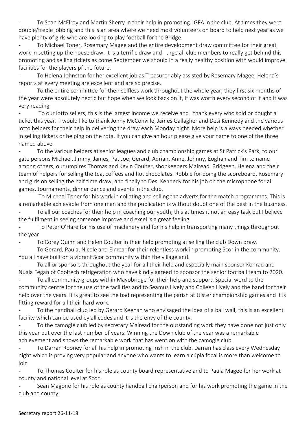To Sean McElroy and Martin Sherry in their help in promoting LGFA in the club. At times they were double/treble jobbing and this is an area where we need most volunteers on board to help next year as we have plenty of girls who are looking to play football for the Bridge.

To Michael Toner, Rosemary Magee and the entire development draw committee for their great work in setting up the house draw. It is a terrific draw and I urge all club members to really get behind this promoting and selling tickets as come September we should in a really healthy position with would improve facilities for the players pf the future.

To Helena Johnston for her excellent job as Treasurer ably assisted by Rosemary Magee. Helena's reports at every meeting are excellent and are so precise.

To the entire committee for their selfless work throughout the whole year, they first six months of the year were absolutely hectic but hope when we look back on it, it was worth every second of it and it was very reading.

To our lotto sellers, this is the largest income we receive and I thank every who sold or bought a ticket this year. I would like to thank Jonny McConville, James Gallagher and Desi Kennedy and the various lotto helpers for their help in delivering the draw each Monday night. More help is always needed whether in selling tickets or helping on the rota. If you can give an hour please give your name to one of the three named above.

To the various helpers at senior leagues and club championship games at St Patrick's Park, to our gate persons Michael, Jimmy, James, Pat Joe, Gerard, Adrian, Anne, Johnny, Eoghan and Tim to name among others, our umpires Thomas and Kevin Coulter, shopkeepers Mairead, Bridgeen, Helena and their team of helpers for selling the tea, coffees and hot chocolates. Robbie for doing the scoreboard, Rosemary and girls on selling the half time draw, and finally to Desi Kennedy for his job on the microphone for all games, tournaments, dinner dance and events in the club.

To Micheal Toner for his work in collating and selling the adverts for the match programmes. This is a remarkable achievable from one man and the publication is without doubt one of the best in the business.

To all our coaches for their help in coaching our youth, this at times it not an easy task but I believe the fulfilment in seeing someone improve and excel is a great feeling.

To Peter O'Hare for his use of machinery and for his help in transporting many things throughout the year

To Corey Quinn and Helen Coulter in their help promoting at selling the club Down draw.

To Gerard, Paula, Nicole and Eimear for their relentless work in promoting Scor in the community. You all have built on a vibrant Scor community within the village and.

To all or sponsors throughout the year for all their help and especially main sponsor Konrad and Nuala Fegan of Cooltech refrigeration who have kindly agreed to sponsor the senior football team to 2020.

To all community groups within Mayobridge for their help and support. Special word to the community centre for the use of the facilities and to Seamus Lively and Colleen Lively and the band for their help over the years. It is great to see the bad representing the parish at Ulster championship games and it is fitting reward for all their hard work.

To the handball club led by Gerard Keenan who envisaged the idea of a ball wall, this is an excellent facility which can be used by all codes and it is the envy of the county.

To the camogie club led by secretary Mairead for the outstanding work they have done not just only this year but over the last number of years. Winning the Down club of the year was a remarkable achievement and shows the remarkable work that has went on with the camogie club.

To Darran Rooney for all his help in promoting Irish in the club. Darran has class every Wednesday night which is proving very popular and anyone who wants to learn a cúpla focal is more than welcome to join

To Thomas Coulter for his role as county board representative and to Paula Magee for her work at county and national level at Scór.

Sean Magone for his role as county handball chairperson and for his work promoting the game in the club and county.